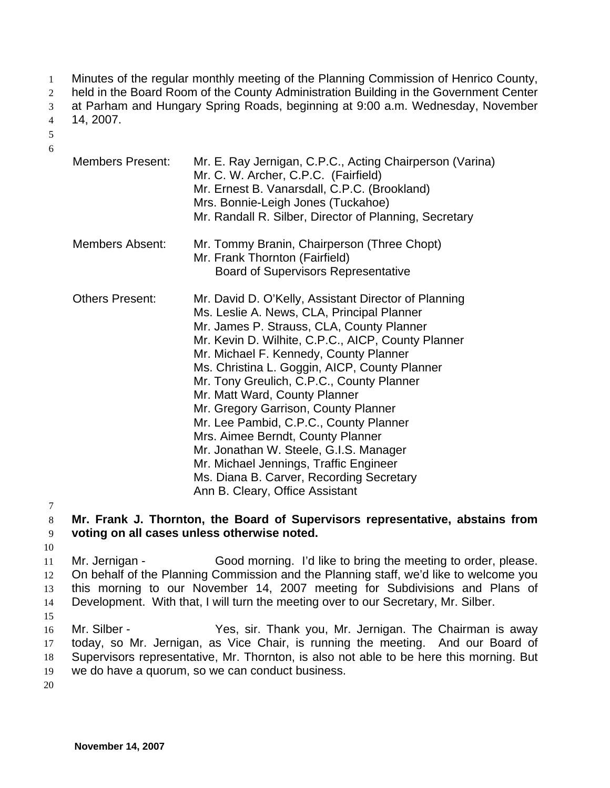Minutes of the regular monthly meeting of the Planning Commission of Henrico County, 1

held in the Board Room of the County Administration Building in the Government Center 2

at Parham and Hungary Spring Roads, beginning at 9:00 a.m. Wednesday, November 14, 2007. 3

4

5 6

| <b>Members Present:</b> | Mr. E. Ray Jernigan, C.P.C., Acting Chairperson (Varina)<br>Mr. C. W. Archer, C.P.C. (Fairfield)<br>Mr. Ernest B. Vanarsdall, C.P.C. (Brookland)<br>Mrs. Bonnie-Leigh Jones (Tuckahoe)<br>Mr. Randall R. Silber, Director of Planning, Secretary                                                                                                                                                                                                                                                                                                                                                                                                                         |
|-------------------------|--------------------------------------------------------------------------------------------------------------------------------------------------------------------------------------------------------------------------------------------------------------------------------------------------------------------------------------------------------------------------------------------------------------------------------------------------------------------------------------------------------------------------------------------------------------------------------------------------------------------------------------------------------------------------|
| <b>Members Absent:</b>  | Mr. Tommy Branin, Chairperson (Three Chopt)<br>Mr. Frank Thornton (Fairfield)<br><b>Board of Supervisors Representative</b>                                                                                                                                                                                                                                                                                                                                                                                                                                                                                                                                              |
| <b>Others Present:</b>  | Mr. David D. O'Kelly, Assistant Director of Planning<br>Ms. Leslie A. News, CLA, Principal Planner<br>Mr. James P. Strauss, CLA, County Planner<br>Mr. Kevin D. Wilhite, C.P.C., AICP, County Planner<br>Mr. Michael F. Kennedy, County Planner<br>Ms. Christina L. Goggin, AICP, County Planner<br>Mr. Tony Greulich, C.P.C., County Planner<br>Mr. Matt Ward, County Planner<br>Mr. Gregory Garrison, County Planner<br>Mr. Lee Pambid, C.P.C., County Planner<br>Mrs. Aimee Berndt, County Planner<br>Mr. Jonathan W. Steele, G.I.S. Manager<br>Mr. Michael Jennings, Traffic Engineer<br>Ms. Diana B. Carver, Recording Secretary<br>Ann B. Cleary, Office Assistant |

7

8 9 **Mr. Frank J. Thornton, the Board of Supervisors representative, abstains from voting on all cases unless otherwise noted.**

10

11 12 13 14 Mr. Jernigan - Good morning. I'd like to bring the meeting to order, please. On behalf of the Planning Commission and the Planning staff, we'd like to welcome you this morning to our November 14, 2007 meeting for Subdivisions and Plans of Development. With that, I will turn the meeting over to our Secretary, Mr. Silber.

15

16 17 18 19 Mr. Silber - Thank you, Mr. Jernigan. The Chairman is away today, so Mr. Jernigan, as Vice Chair, is running the meeting. And our Board of Supervisors representative, Mr. Thornton, is also not able to be here this morning. But we do have a quorum, so we can conduct business.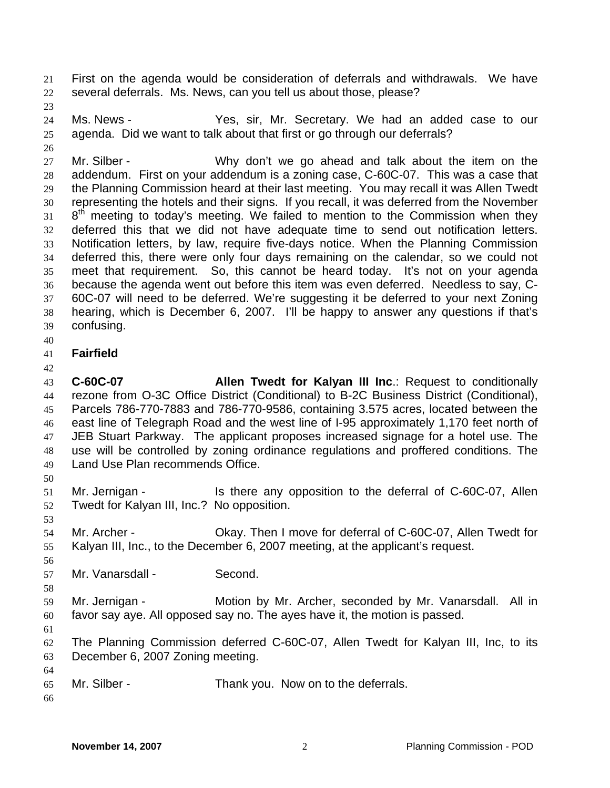First on the agenda would be consideration of deferrals and withdrawals. We have several deferrals. Ms. News, can you tell us about those, please? 21 22

23

26

24 25 Ms. News - Yes, sir, Mr. Secretary. We had an added case to our agenda. Did we want to talk about that first or go through our deferrals?

27 28 29 30 31 32 33 34 35 36 37 38 39 Mr. Silber - Why don't we go ahead and talk about the item on the addendum. First on your addendum is a zoning case, C-60C-07. This was a case that the Planning Commission heard at their last meeting. You may recall it was Allen Twedt representing the hotels and their signs. If you recall, it was deferred from the November  $8<sup>th</sup>$  meeting to today's meeting. We failed to mention to the Commission when they deferred this that we did not have adequate time to send out notification letters. Notification letters, by law, require five-days notice. When the Planning Commission deferred this, there were only four days remaining on the calendar, so we could not meet that requirement. So, this cannot be heard today. It's not on your agenda because the agenda went out before this item was even deferred. Needless to say, C-60C-07 will need to be deferred. We're suggesting it be deferred to your next Zoning hearing, which is December 6, 2007. I'll be happy to answer any questions if that's confusing.

- 40
- 41 **Fairfield**
- 42

43 44 45 46 47 48 49 **C-60C-07 Allen Twedt for Kalyan III Inc**.: Request to conditionally rezone from O-3C Office District (Conditional) to B-2C Business District (Conditional), Parcels 786-770-7883 and 786-770-9586, containing 3.575 acres, located between the east line of Telegraph Road and the west line of I-95 approximately 1,170 feet north of JEB Stuart Parkway. The applicant proposes increased signage for a hotel use. The use will be controlled by zoning ordinance regulations and proffered conditions. The Land Use Plan recommends Office.

50

51 52 Mr. Jernigan - Is there any opposition to the deferral of C-60C-07, Allen Twedt for Kalyan III, Inc.? No opposition.

53

54 55 Mr. Archer - Okay. Then I move for deferral of C-60C-07, Allen Twedt for Kalyan III, Inc., to the December 6, 2007 meeting, at the applicant's request.

56 57

58

Mr. Vanarsdall - Second.

59 60 Mr. Jernigan - **Motion by Mr. Archer, seconded by Mr. Vanarsdall.** All in favor say aye. All opposed say no. The ayes have it, the motion is passed.

61

62 63 The Planning Commission deferred C-60C-07, Allen Twedt for Kalyan III, Inc, to its December 6, 2007 Zoning meeting.

65 Mr. Silber - Thank you. Now on to the deferrals.

66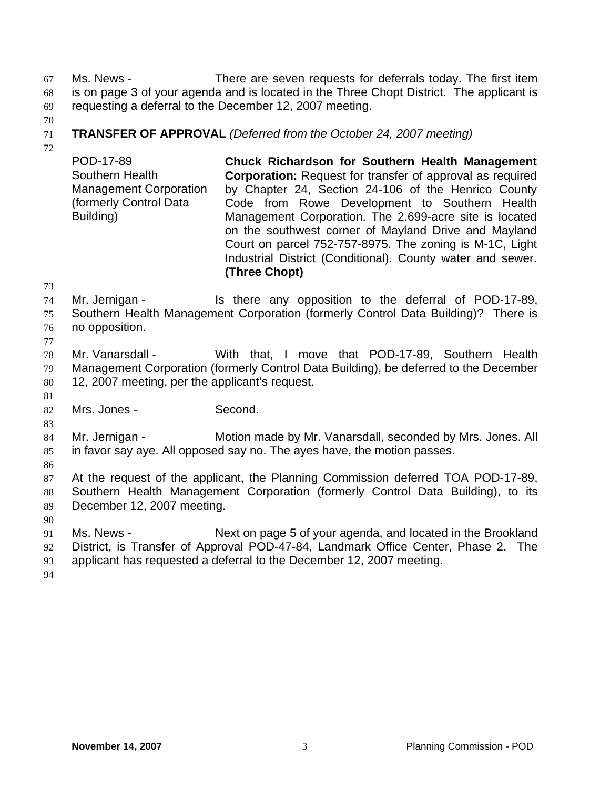Ms. News - There are seven requests for deferrals today. The first item is on page 3 of your agenda and is located in the Three Chopt District. The applicant is requesting a deferral to the December 12, 2007 meeting. 67 68 69

70

## 71 **TRANSFER OF APPROVAL** *(Deferred from the October 24, 2007 meeting)*

72

POD-17-89 Southern Health Management Corporation (formerly Control Data Building) **Chuck Richardson for Southern Health Management Corporation:** Request for transfer of approval as required by Chapter 24, Section 24-106 of the Henrico County Code from Rowe Development to Southern Health Management Corporation. The 2.699-acre site is located on the southwest corner of Mayland Drive and Mayland Court on parcel 752-757-8975. The zoning is M-1C, Light Industrial District (Conditional). County water and sewer. **(Three Chopt)** 

73

74 75 Mr. Jernigan - Is there any opposition to the deferral of POD-17-89, Southern Health Management Corporation (formerly Control Data Building)? There is

76 no opposition.

78 79 80 Mr. Vanarsdall - With that, I move that POD-17-89, Southern Health Management Corporation (formerly Control Data Building), be deferred to the December 12, 2007 meeting, per the applicant's request.

81 82

83

77

Mrs. Jones - Second.

84 85 Mr. Jernigan - Motion made by Mr. Vanarsdall, seconded by Mrs. Jones. All in favor say aye. All opposed say no. The ayes have, the motion passes.

86

87 88 89 At the request of the applicant, the Planning Commission deferred TOA POD-17-89, Southern Health Management Corporation (formerly Control Data Building), to its December 12, 2007 meeting.

90

91 92 93 Ms. News - Next on page 5 of your agenda, and located in the Brookland District, is Transfer of Approval POD-47-84, Landmark Office Center, Phase 2. The applicant has requested a deferral to the December 12, 2007 meeting.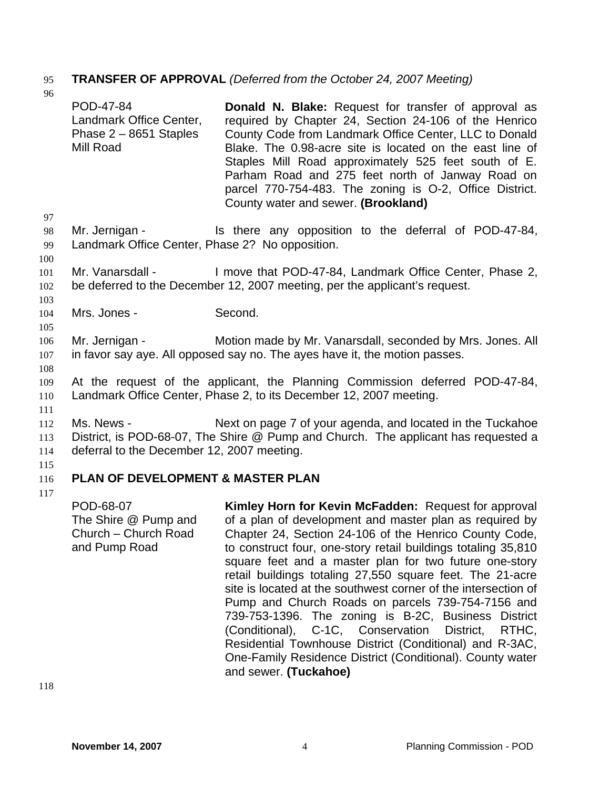# 95 **TRANSFER OF APPROVAL** *(Deferred from the October 24, 2007 Meeting)*

- 96 POD-47-84 Landmark Office Center, Phase 2 – 8651 Staples Mill Road **Donald N. Blake:** Request for transfer of approval as required by Chapter 24, Section 24-106 of the Henrico County Code from Landmark Office Center, LLC to Donald Blake. The 0.98-acre site is located on the east line of Staples Mill Road approximately 525 feet south of E. Parham Road and 275 feet north of Janway Road on parcel 770-754-483. The zoning is O-2, Office District. County water and sewer. **(Brookland)**
- 98 99 Mr. Jernigan - Is there any opposition to the deferral of POD-47-84, Landmark Office Center, Phase 2? No opposition.
- 101 102 Mr. Vanarsdall - I move that POD-47-84, Landmark Office Center, Phase 2, be deferred to the December 12, 2007 meeting, per the applicant's request.
- 104 Mrs. Jones - Second.
- 106 107 Mr. Jernigan - Motion made by Mr. Vanarsdall, seconded by Mrs. Jones. All in favor say aye. All opposed say no. The ayes have it, the motion passes.
- 108

111

97

100

103

105

- 109 110 At the request of the applicant, the Planning Commission deferred POD-47-84, Landmark Office Center, Phase 2, to its December 12, 2007 meeting.
- 112 113 114 Ms. News - Next on page 7 of your agenda, and located in the Tuckahoe District, is POD-68-07, The Shire @ Pump and Church. The applicant has requested a deferral to the December 12, 2007 meeting.
- 115

#### 116 **PLAN OF DEVELOPMENT & MASTER PLAN**

117

POD-68-07 The Shire @ Pump and Church – Church Road and Pump Road **Kimley Horn for Kevin McFadden:** Request for approval of a plan of development and master plan as required by Chapter 24, Section 24-106 of the Henrico County Code, to construct four, one-story retail buildings totaling 35,810 square feet and a master plan for two future one-story retail buildings totaling 27,550 square feet. The 21-acre site is located at the southwest corner of the intersection of Pump and Church Roads on parcels 739-754-7156 and 739-753-1396. The zoning is B-2C, Business District (Conditional), C-1C, Conservation District, RTHC, Residential Townhouse District (Conditional) and R-3AC, One-Family Residence District (Conditional). County water and sewer. **(Tuckahoe)**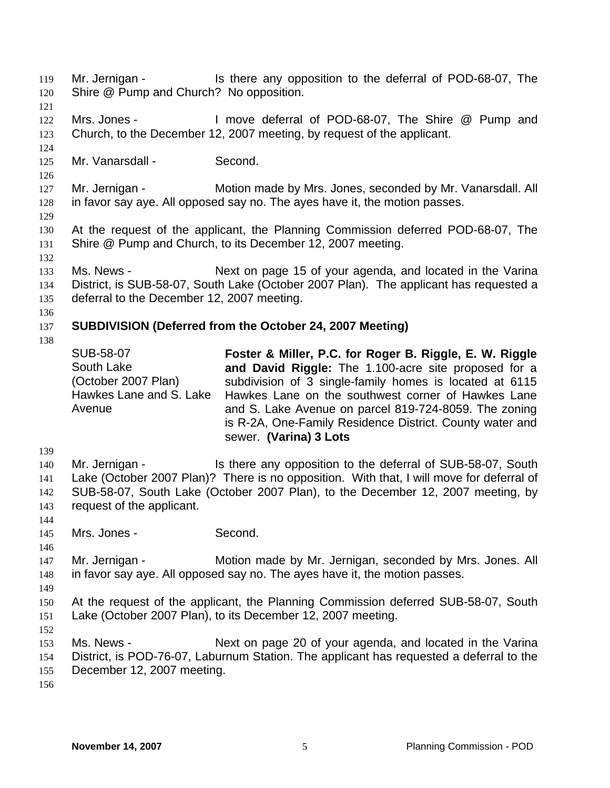Shire @ Pump and Church? No opposition. 120 121 122 123 124 125 126 127 128 129 130 131 132 133 134 135 136 137 138 139 140 141 142 143 144 145 146 147 148 149 150 151 152 153 154 155 156 Mrs. Jones - I move deferral of POD-68-07, The Shire @ Pump and Church, to the December 12, 2007 meeting, by request of the applicant. Mr. Vanarsdall - Second. Mr. Jernigan - Motion made by Mrs. Jones, seconded by Mr. Vanarsdall. All in favor say aye. All opposed say no. The ayes have it, the motion passes. At the request of the applicant, the Planning Commission deferred POD-68-07, The Shire @ Pump and Church, to its December 12, 2007 meeting. Ms. News - Next on page 15 of your agenda, and located in the Varina District, is SUB-58-07, South Lake (October 2007 Plan). The applicant has requested a deferral to the December 12, 2007 meeting. **SUBDIVISION (Deferred from the October 24, 2007 Meeting)**  SUB-58-07 South Lake (October 2007 Plan) Hawkes Lane and S. Lake Avenue **Foster & Miller, P.C. for Roger B. Riggle, E. W. Riggle and David Riggle:** The 1.100-acre site proposed for a subdivision of 3 single-family homes is located at 6115 Hawkes Lane on the southwest corner of Hawkes Lane and S. Lake Avenue on parcel 819-724-8059. The zoning is R-2A, One-Family Residence District. County water and sewer. **(Varina) 3 Lots**  Mr. Jernigan - Is there any opposition to the deferral of SUB-58-07, South Lake (October 2007 Plan)? There is no opposition. With that, I will move for deferral of SUB-58-07, South Lake (October 2007 Plan), to the December 12, 2007 meeting, by request of the applicant. Mrs. Jones - Second. Mr. Jernigan - Motion made by Mr. Jernigan, seconded by Mrs. Jones. All in favor say aye. All opposed say no. The ayes have it, the motion passes. At the request of the applicant, the Planning Commission deferred SUB-58-07, South Lake (October 2007 Plan), to its December 12, 2007 meeting. Ms. News - Next on page 20 of your agenda, and located in the Varina District, is POD-76-07, Laburnum Station. The applicant has requested a deferral to the December 12, 2007 meeting.

Mr. Jernigan - Is there any opposition to the deferral of POD-68-07, The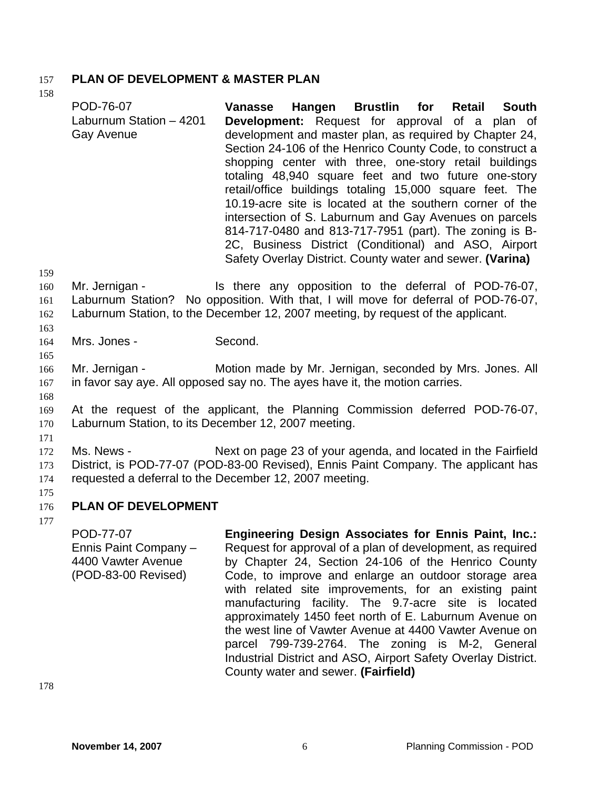# 157 **PLAN OF DEVELOPMENT & MASTER PLAN**

POD-76-07 Laburnum Station – 4201 Gay Avenue **Vanasse Hangen Brustlin for Retail South Development:** Request for approval of a plan of development and master plan, as required by Chapter 24, Section 24-106 of the Henrico County Code, to construct a shopping center with three, one-story retail buildings totaling 48,940 square feet and two future one-story retail/office buildings totaling 15,000 square feet. The 10.19-acre site is located at the southern corner of the intersection of S. Laburnum and Gay Avenues on parcels 814-717-0480 and 813-717-7951 (part). The zoning is B-2C, Business District (Conditional) and ASO, Airport Safety Overlay District. County water and sewer. **(Varina)** 

159

163

165

158

- 160 161 162 Mr. Jernigan - The Is there any opposition to the deferral of POD-76-07, Laburnum Station? No opposition. With that, I will move for deferral of POD-76-07, Laburnum Station, to the December 12, 2007 meeting, by request of the applicant.
- 164 Mrs. Jones - Second.
- 166 167 Mr. Jernigan - Motion made by Mr. Jernigan, seconded by Mrs. Jones. All in favor say aye. All opposed say no. The ayes have it, the motion carries.
- 168
- 169 170 At the request of the applicant, the Planning Commission deferred POD-76-07, Laburnum Station, to its December 12, 2007 meeting.
- 171
- 172 173 174 Ms. News - Next on page 23 of your agenda, and located in the Fairfield District, is POD-77-07 (POD-83-00 Revised), Ennis Paint Company. The applicant has requested a deferral to the December 12, 2007 meeting.
- 176 **PLAN OF DEVELOPMENT**
- 177

175

POD-77-07 Ennis Paint Company – 4400 Vawter Avenue (POD-83-00 Revised) **Engineering Design Associates for Ennis Paint, Inc.:**  Request for approval of a plan of development, as required by Chapter 24, Section 24-106 of the Henrico County Code, to improve and enlarge an outdoor storage area with related site improvements, for an existing paint manufacturing facility. The 9.7-acre site is located approximately 1450 feet north of E. Laburnum Avenue on the west line of Vawter Avenue at 4400 Vawter Avenue on parcel 799-739-2764. The zoning is M-2, General Industrial District and ASO, Airport Safety Overlay District. County water and sewer. **(Fairfield)**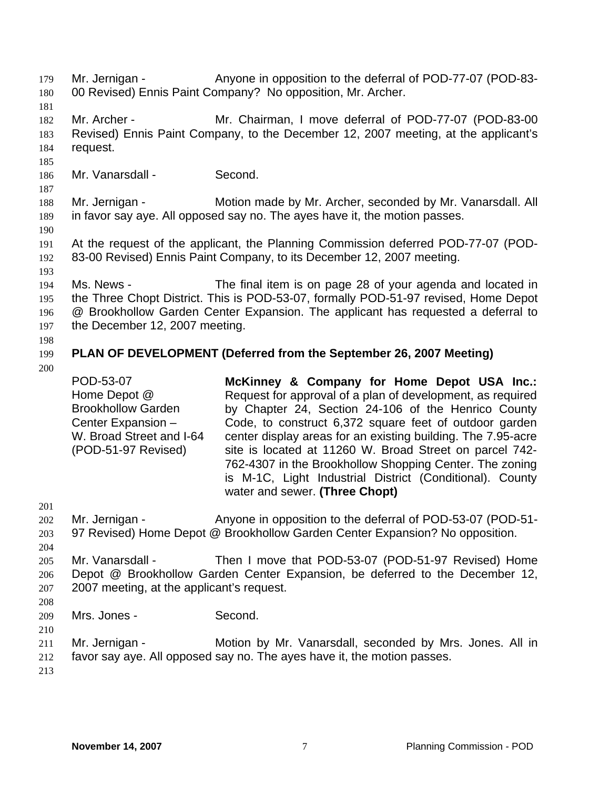- Mr. Jernigan Anyone in opposition to the deferral of POD-77-07 (POD-83-00 Revised) Ennis Paint Company? No opposition, Mr. Archer. 179 180
- 181

182 183 184 Mr. Archer - Mr. Chairman, I move deferral of POD-77-07 (POD-83-00 Revised) Ennis Paint Company, to the December 12, 2007 meeting, at the applicant's request.

185

186 Mr. Vanarsdall - Second.

187 188 189 Mr. Jernigan - **Motion made by Mr. Archer, seconded by Mr. Vanarsdall. All** in favor say aye. All opposed say no. The ayes have it, the motion passes.

190

191 192 At the request of the applicant, the Planning Commission deferred POD-77-07 (POD-83-00 Revised) Ennis Paint Company, to its December 12, 2007 meeting.

193

194 195 196 197 Ms. News - The final item is on page 28 of your agenda and located in the Three Chopt District. This is POD-53-07, formally POD-51-97 revised, Home Depot @ Brookhollow Garden Center Expansion. The applicant has requested a deferral to the December 12, 2007 meeting.

- 198
- 
- 199 **PLAN OF DEVELOPMENT (Deferred from the September 26, 2007 Meeting)**
- 200

POD-53-07 Home Depot @ Brookhollow Garden Center Expansion – W. Broad Street and I-64 (POD-51-97 Revised) **McKinney & Company for Home Depot USA Inc.:**  Request for approval of a plan of development, as required by Chapter 24, Section 24-106 of the Henrico County Code, to construct 6,372 square feet of outdoor garden center display areas for an existing building. The 7.95-acre site is located at 11260 W. Broad Street on parcel 742- 762-4307 in the Brookhollow Shopping Center. The zoning is M-1C, Light Industrial District (Conditional). County water and sewer. **(Three Chopt)** 

201

202 203 Mr. Jernigan - Anyone in opposition to the deferral of POD-53-07 (POD-51- 97 Revised) Home Depot @ Brookhollow Garden Center Expansion? No opposition.

204

205 206 207 Mr. Vanarsdall - Then I move that POD-53-07 (POD-51-97 Revised) Home Depot @ Brookhollow Garden Center Expansion, be deferred to the December 12, 2007 meeting, at the applicant's request.

208

209 Mrs. Jones - Second.

210

211 Mr. Jernigan - Motion by Mr. Vanarsdall, seconded by Mrs. Jones. All in

212 favor say aye. All opposed say no. The ayes have it, the motion passes.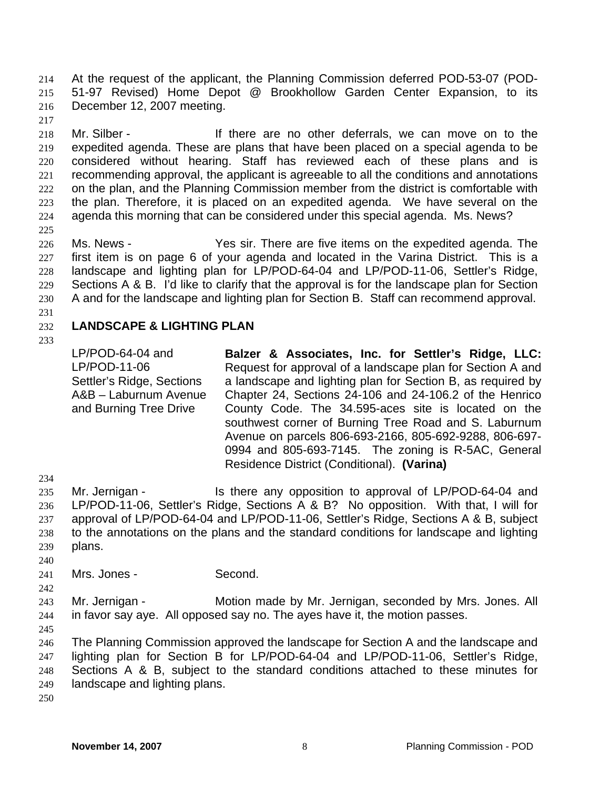At the request of the applicant, the Planning Commission deferred POD-53-07 (POD-51-97 Revised) Home Depot @ Brookhollow Garden Center Expansion, to its December 12, 2007 meeting. 214 215 216

217

218 219 220 221 222 223 224 225 Mr. Silber - There are no other deferrals, we can move on to the expedited agenda. These are plans that have been placed on a special agenda to be considered without hearing. Staff has reviewed each of these plans and is recommending approval, the applicant is agreeable to all the conditions and annotations on the plan, and the Planning Commission member from the district is comfortable with the plan. Therefore, it is placed on an expedited agenda. We have several on the agenda this morning that can be considered under this special agenda. Ms. News?

226 227 228 229 230 Ms. News - Yes sir. There are five items on the expedited agenda. The first item is on page 6 of your agenda and located in the Varina District. This is a landscape and lighting plan for LP/POD-64-04 and LP/POD-11-06, Settler's Ridge, Sections A & B. I'd like to clarify that the approval is for the landscape plan for Section A and for the landscape and lighting plan for Section B. Staff can recommend approval.

231

### 232 **LANDSCAPE & LIGHTING PLAN**

233

LP/POD-64-04 and LP/POD-11-06 Settler's Ridge, Sections A&B – Laburnum Avenue and Burning Tree Drive

**Balzer & Associates, Inc. for Settler's Ridge, LLC:** Request for approval of a landscape plan for Section A and a landscape and lighting plan for Section B, as required by Chapter 24, Sections 24-106 and 24-106.2 of the Henrico County Code. The 34.595-aces site is located on the southwest corner of Burning Tree Road and S. Laburnum Avenue on parcels 806-693-2166, 805-692-9288, 806-697- 0994 and 805-693-7145. The zoning is R-5AC, General Residence District (Conditional). **(Varina)** 

234

235 236 237 238 239 Mr. Jernigan - Is there any opposition to approval of LP/POD-64-04 and LP/POD-11-06, Settler's Ridge, Sections A & B? No opposition. With that, I will for approval of LP/POD-64-04 and LP/POD-11-06, Settler's Ridge, Sections A & B, subject to the annotations on the plans and the standard conditions for landscape and lighting plans.

240

242

241 Mrs. Jones - Second.

243 244 Mr. Jernigan - **Motion made by Mr. Jernigan, seconded by Mrs. Jones. All** in favor say aye. All opposed say no. The ayes have it, the motion passes.

245

246 247 248 249 The Planning Commission approved the landscape for Section A and the landscape and lighting plan for Section B for LP/POD-64-04 and LP/POD-11-06, Settler's Ridge, Sections A & B, subject to the standard conditions attached to these minutes for landscape and lighting plans.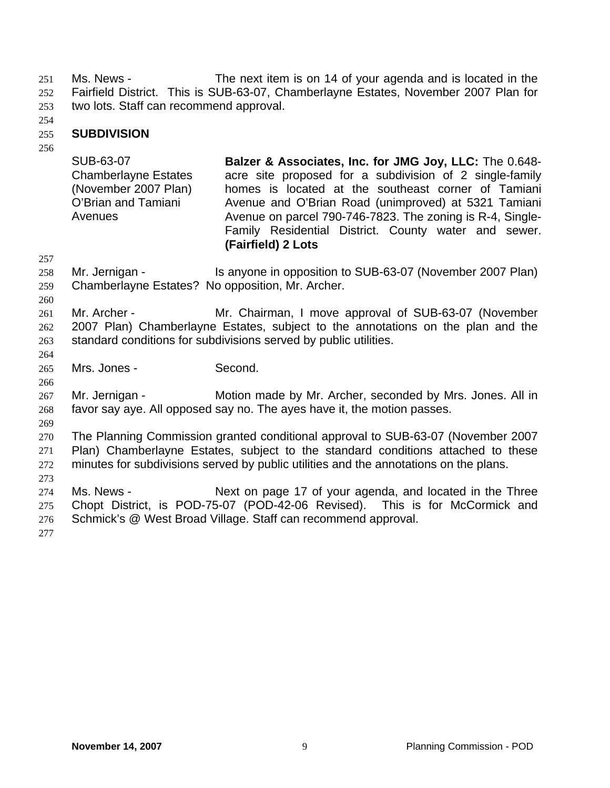Ms. News - The next item is on 14 of your agenda and is located in the Fairfield District. This is SUB-63-07, Chamberlayne Estates, November 2007 Plan for two lots. Staff can recommend approval. 251 252 253

254

### 255 **SUBDIVISION**

256

SUB-63-07 Chamberlayne Estates (November 2007 Plan) O'Brian and Tamiani Avenues **Balzer & Associates, Inc. for JMG Joy, LLC:** The 0.648 acre site proposed for a subdivision of 2 single-family homes is located at the southeast corner of Tamiani Avenue and O'Brian Road (unimproved) at 5321 Tamiani Avenue on parcel 790-746-7823. The zoning is R-4, Single-Family Residential District. County water and sewer. **(Fairfield) 2 Lots**

258 259 Mr. Jernigan - Is anyone in opposition to SUB-63-07 (November 2007 Plan) Chamberlayne Estates? No opposition, Mr. Archer.

260

264

266

269

257

261 262 263 Mr. Archer - **Mr. Chairman, I move approval of SUB-63-07 (November** 2007 Plan) Chamberlayne Estates, subject to the annotations on the plan and the standard conditions for subdivisions served by public utilities.

265 Mrs. Jones - Second.

267 268 Mr. Jernigan - Motion made by Mr. Archer, seconded by Mrs. Jones. All in favor say aye. All opposed say no. The ayes have it, the motion passes.

270 271 272 The Planning Commission granted conditional approval to SUB-63-07 (November 2007 Plan) Chamberlayne Estates, subject to the standard conditions attached to these minutes for subdivisions served by public utilities and the annotations on the plans.

274 275 276 Ms. News - Next on page 17 of your agenda, and located in the Three Chopt District, is POD-75-07 (POD-42-06 Revised). This is for McCormick and Schmick's @ West Broad Village. Staff can recommend approval.

277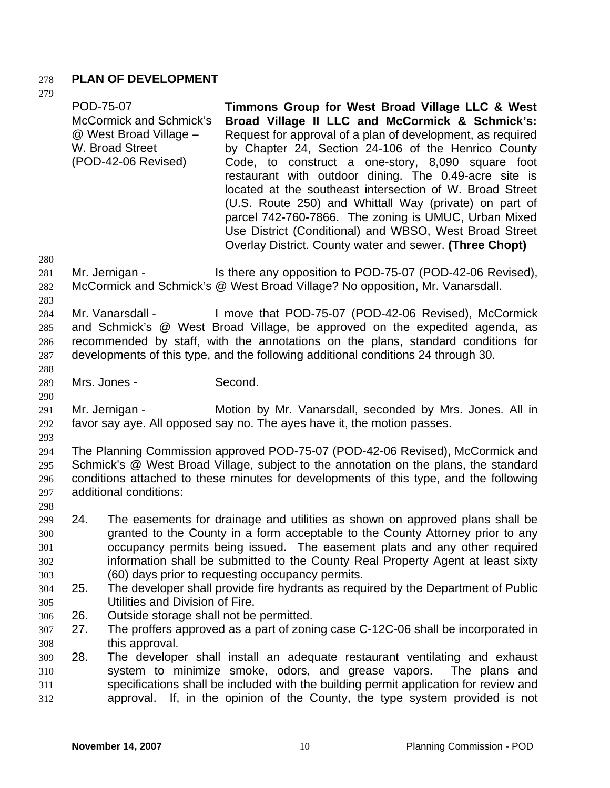# 278 **PLAN OF DEVELOPMENT**

| 219                                                         | POD-75-07                | <b>McCormick and Schmick's</b><br>@ West Broad Village -<br>W. Broad Street<br>(POD-42-06 Revised) | Timmons Group for West Broad Village LLC & West<br>Broad Village II LLC and McCormick & Schmick's:<br>Request for approval of a plan of development, as required<br>by Chapter 24, Section 24-106 of the Henrico County<br>Code, to construct a one-story, 8,090 square foot<br>restaurant with outdoor dining. The 0.49-acre site is<br>located at the southeast intersection of W. Broad Street<br>(U.S. Route 250) and Whittall Way (private) on part of<br>parcel 742-760-7866. The zoning is UMUC, Urban Mixed<br>Use District (Conditional) and WBSO, West Broad Street<br>Overlay District. County water and sewer. (Three Chopt) |
|-------------------------------------------------------------|--------------------------|----------------------------------------------------------------------------------------------------|------------------------------------------------------------------------------------------------------------------------------------------------------------------------------------------------------------------------------------------------------------------------------------------------------------------------------------------------------------------------------------------------------------------------------------------------------------------------------------------------------------------------------------------------------------------------------------------------------------------------------------------|
| 280<br>281<br>282<br>283                                    |                          | Mr. Jernigan -                                                                                     | Is there any opposition to POD-75-07 (POD-42-06 Revised),<br>McCormick and Schmick's @ West Broad Village? No opposition, Mr. Vanarsdall.                                                                                                                                                                                                                                                                                                                                                                                                                                                                                                |
| 284<br>285<br>286<br>287<br>288                             |                          | Mr. Vanarsdall -                                                                                   | I move that POD-75-07 (POD-42-06 Revised), McCormick<br>and Schmick's @ West Broad Village, be approved on the expedited agenda, as<br>recommended by staff, with the annotations on the plans, standard conditions for<br>developments of this type, and the following additional conditions 24 through 30.                                                                                                                                                                                                                                                                                                                             |
| 289                                                         | Mrs. Jones -             |                                                                                                    | Second.                                                                                                                                                                                                                                                                                                                                                                                                                                                                                                                                                                                                                                  |
| 290<br>291<br>292<br>293                                    |                          | Mr. Jernigan -                                                                                     | Motion by Mr. Vanarsdall, seconded by Mrs. Jones. All in<br>favor say aye. All opposed say no. The ayes have it, the motion passes.                                                                                                                                                                                                                                                                                                                                                                                                                                                                                                      |
| 294<br>295<br>296<br>297<br>298                             |                          | additional conditions:                                                                             | The Planning Commission approved POD-75-07 (POD-42-06 Revised), McCormick and<br>Schmick's @ West Broad Village, subject to the annotation on the plans, the standard<br>conditions attached to these minutes for developments of this type, and the following                                                                                                                                                                                                                                                                                                                                                                           |
| 299<br>300<br>301<br>302<br>303<br>304<br>305<br>306<br>307 | 24.<br>25.<br>26.<br>27. | Utilities and Division of Fire.<br>Outside storage shall not be permitted.                         | The easements for drainage and utilities as shown on approved plans shall be<br>granted to the County in a form acceptable to the County Attorney prior to any<br>occupancy permits being issued. The easement plats and any other required<br>information shall be submitted to the County Real Property Agent at least sixty<br>(60) days prior to requesting occupancy permits.<br>The developer shall provide fire hydrants as required by the Department of Public<br>The proffers approved as a part of zoning case C-12C-06 shall be incorporated in                                                                              |
| 308<br>309<br>310<br>311<br>312                             | 28.                      | this approval.<br>approval.                                                                        | The developer shall install an adequate restaurant ventilating and exhaust<br>system to minimize smoke, odors, and grease vapors.<br>The plans and<br>specifications shall be included with the building permit application for review and<br>If, in the opinion of the County, the type system provided is not                                                                                                                                                                                                                                                                                                                          |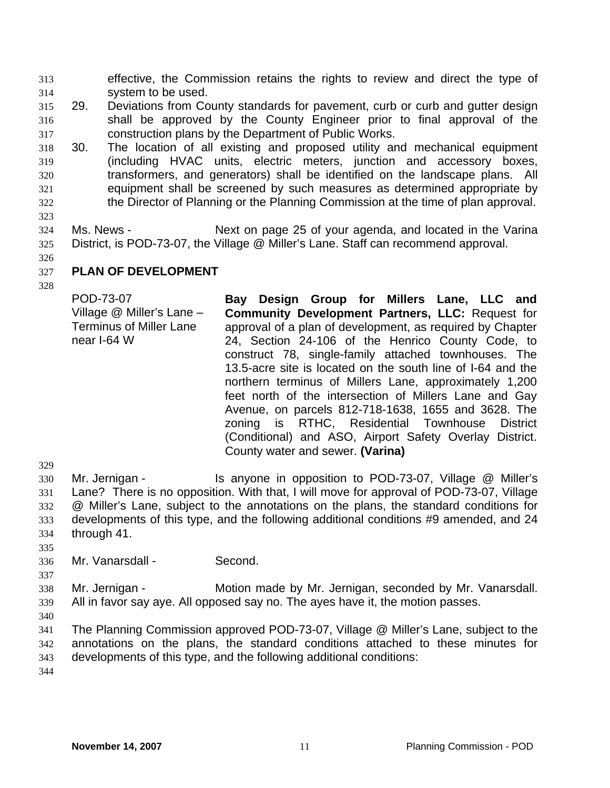effective, the Commission retains the rights to review and direct the type of system to be used. 313 314

- 315 316 317 29. Deviations from County standards for pavement, curb or curb and gutter design shall be approved by the County Engineer prior to final approval of the construction plans by the Department of Public Works.
- 318 319 320 321 322 30. The location of all existing and proposed utility and mechanical equipment (including HVAC units, electric meters, junction and accessory boxes, transformers, and generators) shall be identified on the landscape plans. All equipment shall be screened by such measures as determined appropriate by the Director of Planning or the Planning Commission at the time of plan approval.
- 323

324 325 Ms. News - Next on page 25 of your agenda, and located in the Varina District, is POD-73-07, the Village @ Miller's Lane. Staff can recommend approval.

326

327 **PLAN OF DEVELOPMENT** 

328

POD-73-07 Village @ Miller's Lane – Terminus of Miller Lane near I-64 W

**Bay Design Group for Millers Lane, LLC and Community Development Partners, LLC:** Request for approval of a plan of development, as required by Chapter 24, Section 24-106 of the Henrico County Code, to construct 78, single-family attached townhouses. The 13.5-acre site is located on the south line of I-64 and the northern terminus of Millers Lane, approximately 1,200 feet north of the intersection of Millers Lane and Gay Avenue, on parcels 812-718-1638, 1655 and 3628. The zoning is RTHC, Residential Townhouse District (Conditional) and ASO, Airport Safety Overlay District. County water and sewer. **(Varina)**

329

330 331 332 333 334 Mr. Jernigan - Is anyone in opposition to POD-73-07, Village @ Miller's Lane? There is no opposition. With that, I will move for approval of POD-73-07, Village @ Miller's Lane, subject to the annotations on the plans, the standard conditions for developments of this type, and the following additional conditions #9 amended, and 24 through 41.

335 336

Mr. Vanarsdall - Second.

337 338 339 Mr. Jernigan - **Motion made by Mr. Jernigan, seconded by Mr. Vanarsdall.** All in favor say aye. All opposed say no. The ayes have it, the motion passes.

340

341 342 343 The Planning Commission approved POD-73-07, Village @ Miller's Lane, subject to the annotations on the plans, the standard conditions attached to these minutes for developments of this type, and the following additional conditions: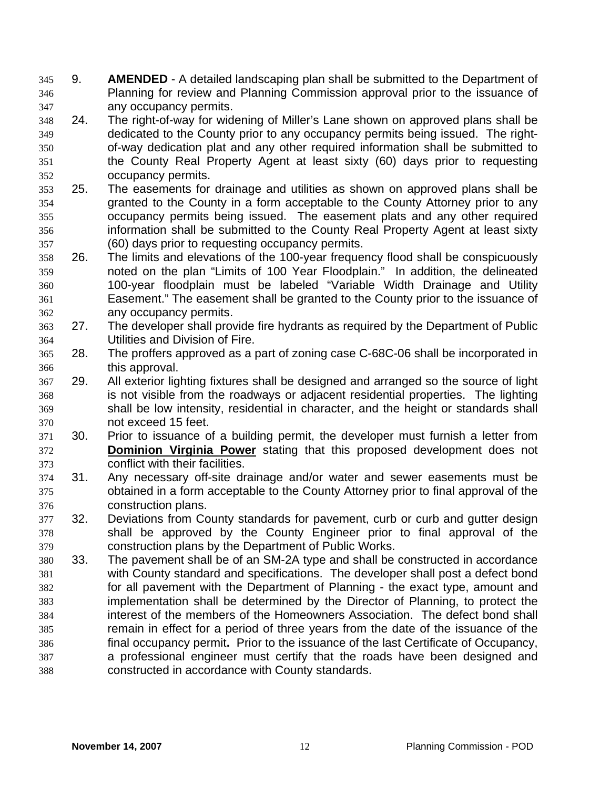9. **AMENDED** - A detailed landscaping plan shall be submitted to the Department of Planning for review and Planning Commission approval prior to the issuance of any occupancy permits. 345 346 347

- 348 349 350 351 352 24. The right-of-way for widening of Miller's Lane shown on approved plans shall be dedicated to the County prior to any occupancy permits being issued. The rightof-way dedication plat and any other required information shall be submitted to the County Real Property Agent at least sixty (60) days prior to requesting occupancy permits.
- 353 354 355 356 357 25. The easements for drainage and utilities as shown on approved plans shall be granted to the County in a form acceptable to the County Attorney prior to any occupancy permits being issued. The easement plats and any other required information shall be submitted to the County Real Property Agent at least sixty (60) days prior to requesting occupancy permits.
- 358 359 360 361 362 26. The limits and elevations of the 100-year frequency flood shall be conspicuously noted on the plan "Limits of 100 Year Floodplain." In addition, the delineated 100-year floodplain must be labeled "Variable Width Drainage and Utility Easement." The easement shall be granted to the County prior to the issuance of any occupancy permits.
- 363 364 27. The developer shall provide fire hydrants as required by the Department of Public Utilities and Division of Fire.
- 365 366 28. The proffers approved as a part of zoning case C-68C-06 shall be incorporated in this approval.
- 367 368 369 370 29. All exterior lighting fixtures shall be designed and arranged so the source of light is not visible from the roadways or adjacent residential properties. The lighting shall be low intensity, residential in character, and the height or standards shall not exceed 15 feet.
- 371 30. Prior to issuance of a building permit, the developer must furnish a letter from **Dominion Virginia Power** stating that this proposed development does not conflict with their facilities. 372 373
- 374 375 376 31. Any necessary off-site drainage and/or water and sewer easements must be obtained in a form acceptable to the County Attorney prior to final approval of the construction plans.
- 377 378 379 32. Deviations from County standards for pavement, curb or curb and gutter design shall be approved by the County Engineer prior to final approval of the construction plans by the Department of Public Works.
- 380 381 382 383 384 385 386 387 388 33. The pavement shall be of an SM-2A type and shall be constructed in accordance with County standard and specifications. The developer shall post a defect bond for all pavement with the Department of Planning - the exact type, amount and implementation shall be determined by the Director of Planning, to protect the interest of the members of the Homeowners Association. The defect bond shall remain in effect for a period of three years from the date of the issuance of the final occupancy permit**.** Prior to the issuance of the last Certificate of Occupancy, a professional engineer must certify that the roads have been designed and constructed in accordance with County standards.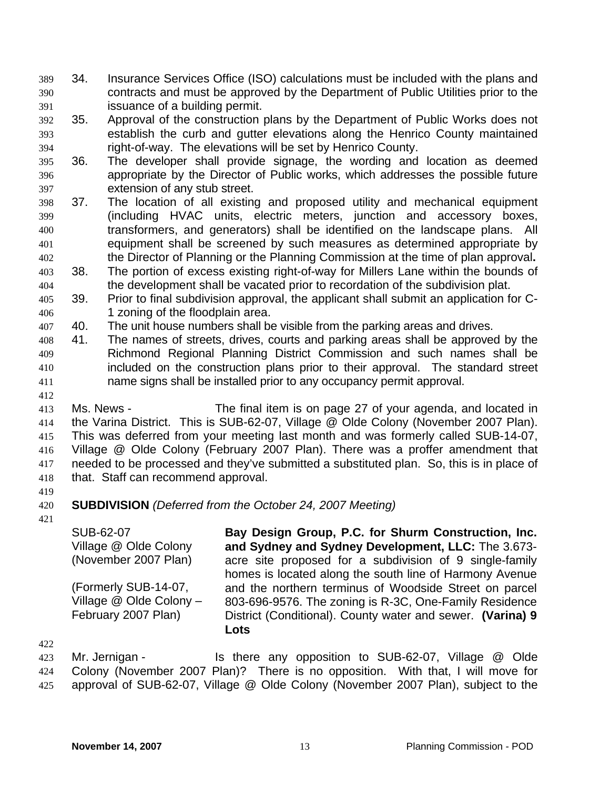- 34. Insurance Services Office (ISO) calculations must be included with the plans and contracts and must be approved by the Department of Public Utilities prior to the issuance of a building permit. 389 390 391
- 392 393 394 35. Approval of the construction plans by the Department of Public Works does not establish the curb and gutter elevations along the Henrico County maintained right-of-way. The elevations will be set by Henrico County.
- 395 396 397 36. The developer shall provide signage, the wording and location as deemed appropriate by the Director of Public works, which addresses the possible future extension of any stub street.
- 398 399 400 401 402 37. The location of all existing and proposed utility and mechanical equipment (including HVAC units, electric meters, junction and accessory boxes, transformers, and generators) shall be identified on the landscape plans. All equipment shall be screened by such measures as determined appropriate by the Director of Planning or the Planning Commission at the time of plan approval**.**
- 403 404 38. The portion of excess existing right-of-way for Millers Lane within the bounds of the development shall be vacated prior to recordation of the subdivision plat.
- 405 406 39. Prior to final subdivision approval, the applicant shall submit an application for C-1 zoning of the floodplain area.
- 407 40. The unit house numbers shall be visible from the parking areas and drives.
- 408 409 410 411 41. The names of streets, drives, courts and parking areas shall be approved by the Richmond Regional Planning District Commission and such names shall be included on the construction plans prior to their approval. The standard street name signs shall be installed prior to any occupancy permit approval.
- 413 414 415 416 417 418 Ms. News - The final item is on page 27 of your agenda, and located in the Varina District. This is SUB-62-07, Village @ Olde Colony (November 2007 Plan). This was deferred from your meeting last month and was formerly called SUB-14-07, Village @ Olde Colony (February 2007 Plan). There was a proffer amendment that needed to be processed and they've submitted a substituted plan. So, this is in place of that. Staff can recommend approval.
- 419 420 **SUBDIVISION** *(Deferred from the October 24, 2007 Meeting)*
- 421

412

SUB-62-07 Village @ Olde Colony (November 2007 Plan) (Formerly SUB-14-07, Village @ Olde Colony – February 2007 Plan) **Bay Design Group, P.C. for Shurm Construction, Inc. and Sydney and Sydney Development, LLC:** The 3.673 acre site proposed for a subdivision of 9 single-family homes is located along the south line of Harmony Avenue and the northern terminus of Woodside Street on parcel 803-696-9576. The zoning is R-3C, One-Family Residence District (Conditional). County water and sewer. **(Varina) 9 Lots** 

422

423 424 425 Mr. Jernigan - Is there any opposition to SUB-62-07, Village @ Olde Colony (November 2007 Plan)? There is no opposition. With that, I will move for approval of SUB-62-07, Village @ Olde Colony (November 2007 Plan), subject to the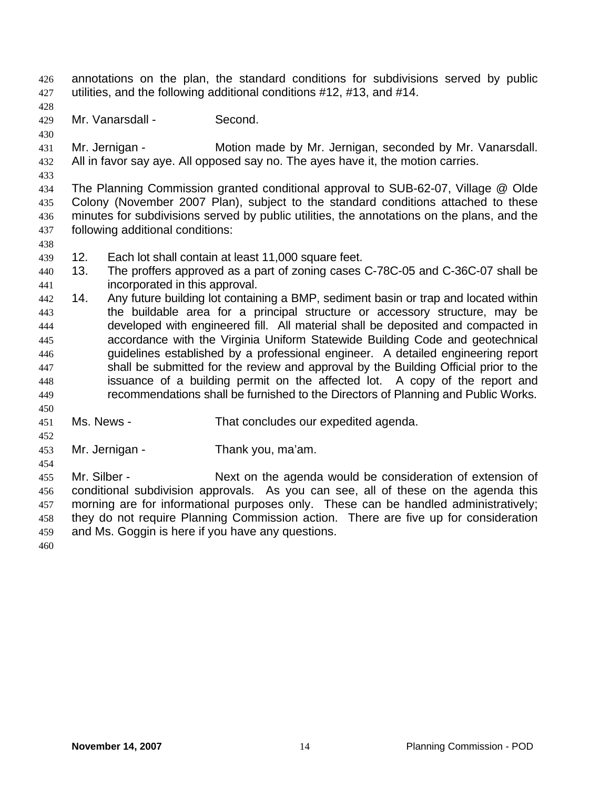annotations on the plan, the standard conditions for subdivisions served by public utilities, and the following additional conditions #12, #13, and #14. 426 427

428 429

430

Mr. Vanarsdall - Second.

431 432 Mr. Jernigan - **Motion made by Mr. Jernigan, seconded by Mr. Vanarsdall.** All in favor say aye. All opposed say no. The ayes have it, the motion carries.

433

438

434 435 436 437 The Planning Commission granted conditional approval to SUB-62-07, Village @ Olde Colony (November 2007 Plan), subject to the standard conditions attached to these minutes for subdivisions served by public utilities, the annotations on the plans, and the following additional conditions:

- 439 12. Each lot shall contain at least 11,000 square feet.
- 440 441 13. The proffers approved as a part of zoning cases C-78C-05 and C-36C-07 shall be incorporated in this approval.
- 442 443 444 445 446 447 448 449 14. Any future building lot containing a BMP, sediment basin or trap and located within the buildable area for a principal structure or accessory structure, may be developed with engineered fill. All material shall be deposited and compacted in accordance with the Virginia Uniform Statewide Building Code and geotechnical guidelines established by a professional engineer. A detailed engineering report shall be submitted for the review and approval by the Building Official prior to the issuance of a building permit on the affected lot. A copy of the report and recommendations shall be furnished to the Directors of Planning and Public Works.
- 451 Ms. News - That concludes our expedited agenda.
- 452 453

450

Mr. Jernigan - Thank you, ma'am.

454 455

456 457 458 459 Mr. Silber - Next on the agenda would be consideration of extension of conditional subdivision approvals. As you can see, all of these on the agenda this morning are for informational purposes only. These can be handled administratively; they do not require Planning Commission action. There are five up for consideration and Ms. Goggin is here if you have any questions.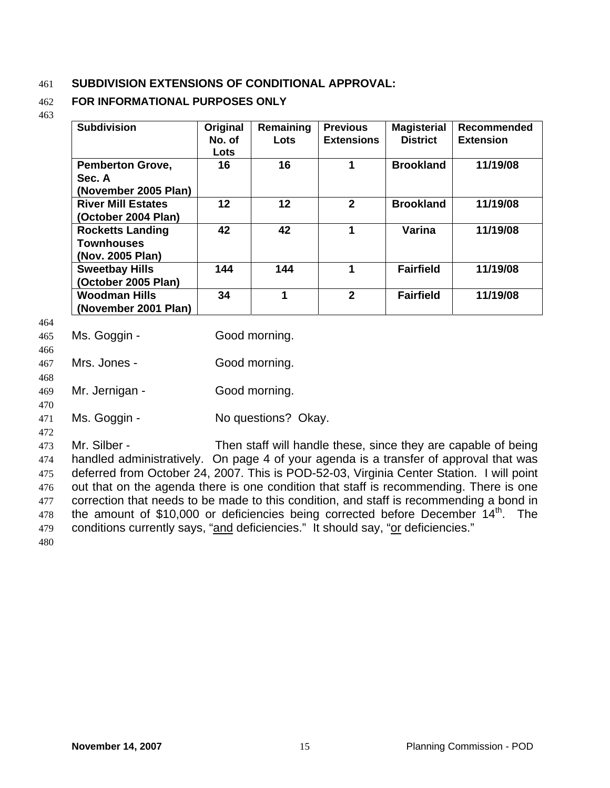# 461 **SUBDIVISION EXTENSIONS OF CONDITIONAL APPROVAL:**

#### 462 **FOR INFORMATIONAL PURPOSES ONLY**

463

| <b>Subdivision</b>                                               | Original<br>No. of<br>Lots | Remaining<br>Lots | <b>Previous</b><br><b>Extensions</b> | <b>Magisterial</b><br><b>District</b> | Recommended<br><b>Extension</b> |
|------------------------------------------------------------------|----------------------------|-------------------|--------------------------------------|---------------------------------------|---------------------------------|
| <b>Pemberton Grove,</b><br>Sec. A<br>(November 2005 Plan)        | 16                         | 16                | 1                                    | <b>Brookland</b>                      | 11/19/08                        |
| <b>River Mill Estates</b><br>(October 2004 Plan)                 | $12 \,$                    | 12                | $\mathbf{2}$                         | <b>Brookland</b>                      | 11/19/08                        |
| <b>Rocketts Landing</b><br><b>Townhouses</b><br>(Nov. 2005 Plan) | 42                         | 42                | 1                                    | Varina                                | 11/19/08                        |
| <b>Sweetbay Hills</b><br>(October 2005 Plan)                     | 144                        | 144               | 1                                    | <b>Fairfield</b>                      | 11/19/08                        |
| <b>Woodman Hills</b><br>(November 2001 Plan)                     | 34                         | 1                 | $\mathbf{2}$                         | <b>Fairfield</b>                      | 11/19/08                        |

464

466

470

| 465 | Ms. Goggin - | Good morning. |
|-----|--------------|---------------|
|     |              |               |

467 468 Mrs. Jones - Good morning.

469 Mr. Jernigan - Good morning.

471 Ms. Goggin - No questions? Okay.

472

473 474 475 476 477 478 Mr. Silber - Then staff will handle these, since they are capable of being handled administratively. On page 4 of your agenda is a transfer of approval that was deferred from October 24, 2007. This is POD-52-03, Virginia Center Station. I will point out that on the agenda there is one condition that staff is recommending. There is one correction that needs to be made to this condition, and staff is recommending a bond in the amount of \$10,000 or deficiencies being corrected before December  $14<sup>th</sup>$ . The 479 conditions currently says, "and deficiencies." It should say, "or deficiencies."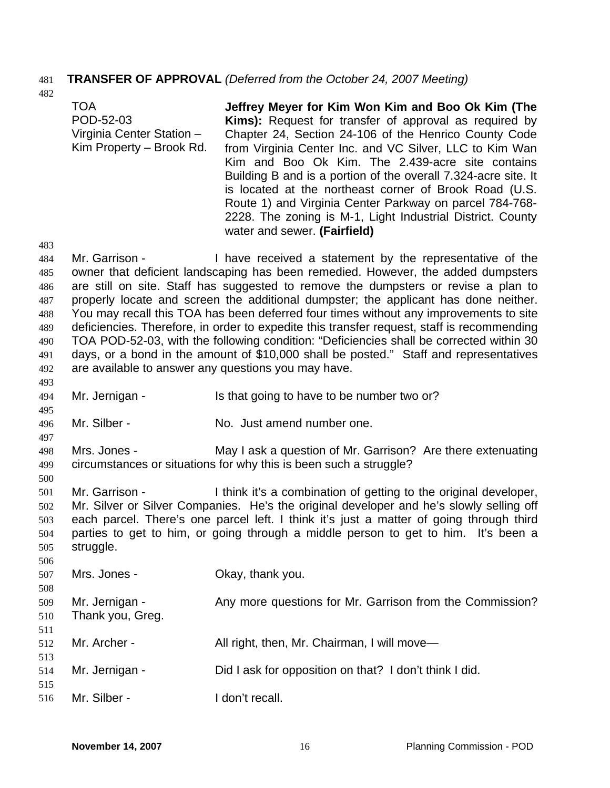# 481 **TRANSFER OF APPROVAL** *(Deferred from the October 24, 2007 Meeting)*

TOA POD-52-03 Virginia Center Station – Kim Property – Brook Rd. **Jeffrey Meyer for Kim Won Kim and Boo Ok Kim (The Kims):** Request for transfer of approval as required by Chapter 24, Section 24-106 of the Henrico County Code from Virginia Center Inc. and VC Silver, LLC to Kim Wan Kim and Boo Ok Kim. The 2.439-acre site contains Building B and is a portion of the overall 7.324-acre site. It is located at the northeast corner of Brook Road (U.S. Route 1) and Virginia Center Parkway on parcel 784-768- 2228. The zoning is M-1, Light Industrial District. County water and sewer. **(Fairfield)** 

483

493

495

497

500

506

482

484 485 486 487 488 489 490 491 492 Mr. Garrison - Thave received a statement by the representative of the owner that deficient landscaping has been remedied. However, the added dumpsters are still on site. Staff has suggested to remove the dumpsters or revise a plan to properly locate and screen the additional dumpster; the applicant has done neither. You may recall this TOA has been deferred four times without any improvements to site deficiencies. Therefore, in order to expedite this transfer request, staff is recommending TOA POD-52-03, with the following condition: "Deficiencies shall be corrected within 30 days, or a bond in the amount of \$10,000 shall be posted." Staff and representatives are available to answer any questions you may have.

- 494 Mr. Jernigan - Is that going to have to be number two or?
- 496 Mr. Silber - No. Just amend number one.

498 499 Mrs. Jones - May I ask a question of Mr. Garrison? Are there extenuating circumstances or situations for why this is been such a struggle?

501 502 503 504 505 Mr. Garrison - I think it's a combination of getting to the original developer, Mr. Silver or Silver Companies. He's the original developer and he's slowly selling off each parcel. There's one parcel left. I think it's just a matter of going through third parties to get to him, or going through a middle person to get to him. It's been a struggle.

| 507               | Mrs. Jones -                       | Okay, thank you.                                         |
|-------------------|------------------------------------|----------------------------------------------------------|
| 508<br>509<br>510 | Mr. Jernigan -<br>Thank you, Greg. | Any more questions for Mr. Garrison from the Commission? |
| 511<br>512<br>513 | Mr. Archer -                       | All right, then, Mr. Chairman, I will move—              |
| 514<br>515        | Mr. Jernigan -                     | Did I ask for opposition on that? I don't think I did.   |
| 516               | Mr. Silber -                       | I don't recall.                                          |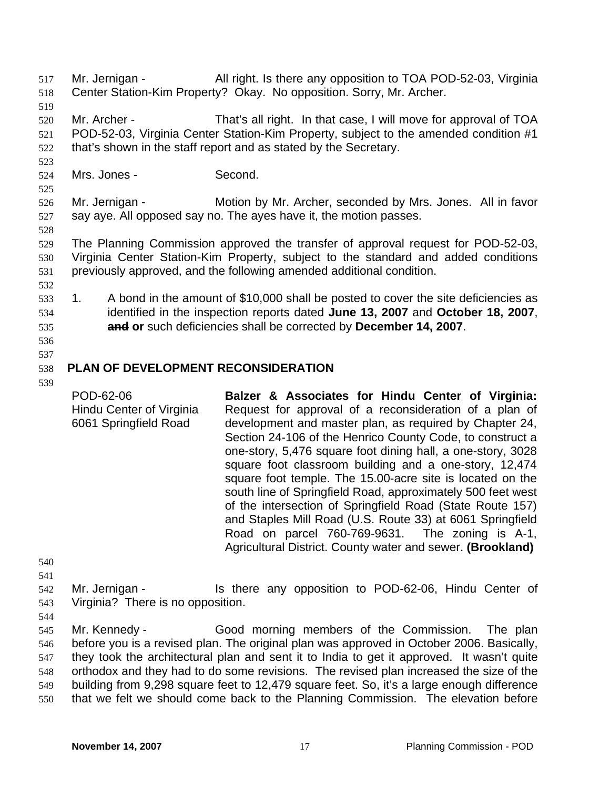- Mr. Jernigan All right. Is there any opposition to TOA POD-52-03, Virginia Center Station-Kim Property? Okay. No opposition. Sorry, Mr. Archer. 517 518
- 519
- 520 521 522 Mr. Archer - That's all right. In that case, I will move for approval of TOA POD-52-03, Virginia Center Station-Kim Property, subject to the amended condition #1 that's shown in the staff report and as stated by the Secretary.
- 524 Mrs. Jones - Second.
- 525

523

526 527 Mr. Jernigan - Motion by Mr. Archer, seconded by Mrs. Jones. All in favor say aye. All opposed say no. The ayes have it, the motion passes.

528

529 530 531 The Planning Commission approved the transfer of approval request for POD-52-03, Virginia Center Station-Kim Property, subject to the standard and added conditions previously approved, and the following amended additional condition.

- 532
- 533 534 1. A bond in the amount of \$10,000 shall be posted to cover the site deficiencies as identified in the inspection reports dated **June 13, 2007** and **October 18, 2007**, 535 **and or** such deficiencies shall be corrected by **December 14, 2007**.
- 536

## 537 538 **PLAN OF DEVELOPMENT RECONSIDERATION**

539

POD-62-06 Hindu Center of Virginia 6061 Springfield Road **Balzer & Associates for Hindu Center of Virginia:**  Request for approval of a reconsideration of a plan of development and master plan, as required by Chapter 24, Section 24-106 of the Henrico County Code, to construct a one-story, 5,476 square foot dining hall, a one-story, 3028 square foot classroom building and a one-story, 12,474 square foot temple. The 15.00-acre site is located on the south line of Springfield Road, approximately 500 feet west of the intersection of Springfield Road (State Route 157) and Staples Mill Road (U.S. Route 33) at 6061 Springfield Road on parcel 760-769-9631. The zoning is A-1, Agricultural District. County water and sewer. **(Brookland)**

- 540 541
- 542 543 Mr. Jernigan - Is there any opposition to POD-62-06, Hindu Center of Virginia? There is no opposition.
- 544

545 546 547 548 549 550 Mr. Kennedy - Good morning members of the Commission. The plan before you is a revised plan. The original plan was approved in October 2006. Basically, they took the architectural plan and sent it to India to get it approved. It wasn't quite orthodox and they had to do some revisions. The revised plan increased the size of the building from 9,298 square feet to 12,479 square feet. So, it's a large enough difference that we felt we should come back to the Planning Commission. The elevation before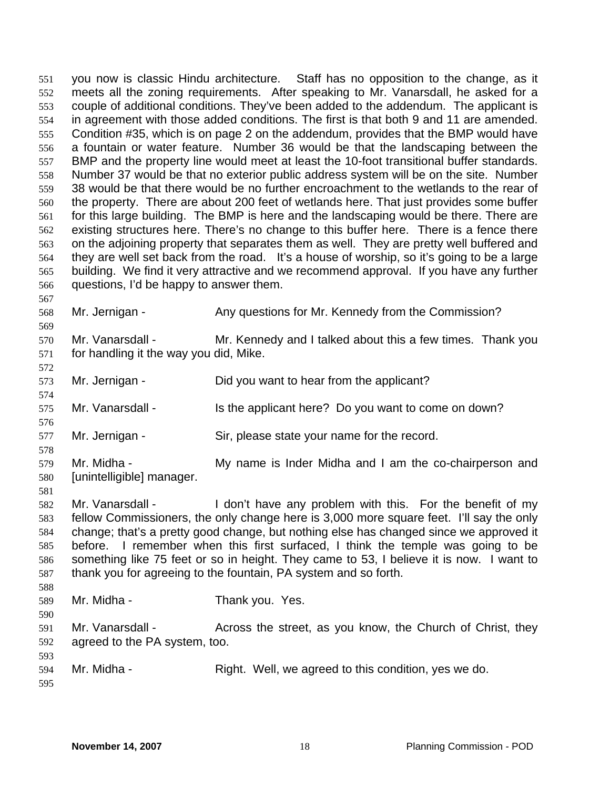you now is classic Hindu architecture. Staff has no opposition to the change, as it meets all the zoning requirements. After speaking to Mr. Vanarsdall, he asked for a couple of additional conditions. They've been added to the addendum. The applicant is in agreement with those added conditions. The first is that both 9 and 11 are amended. Condition #35, which is on page 2 on the addendum, provides that the BMP would have a fountain or water feature. Number 36 would be that the landscaping between the BMP and the property line would meet at least the 10-foot transitional buffer standards. Number 37 would be that no exterior public address system will be on the site. Number 38 would be that there would be no further encroachment to the wetlands to the rear of the property. There are about 200 feet of wetlands here. That just provides some buffer for this large building. The BMP is here and the landscaping would be there. There are existing structures here. There's no change to this buffer here. There is a fence there on the adjoining property that separates them as well. They are pretty well buffered and they are well set back from the road. It's a house of worship, so it's going to be a large building. We find it very attractive and we recommend approval. If you have any further questions, I'd be happy to answer them. 551 552 553 554 555 556 557 558 559 560 561 562 563 564 565 566

568 Mr. Jernigan - Any questions for Mr. Kennedy from the Commission?

- 570 571 Mr. Vanarsdall - Mr. Kennedy and I talked about this a few times. Thank you for handling it the way you did, Mike.
- 573 Mr. Jernigan - Did you want to hear from the applicant?
- 575 Mr. Vanarsdall - Is the applicant here? Do you want to come on down?
- 577 Mr. Jernigan - Sir, please state your name for the record.

579 580 Mr. Midha - My name is Inder Midha and I am the co-chairperson and [unintelligible] manager.

- 582 583 584 585 586 587 Mr. Vanarsdall - I don't have any problem with this. For the benefit of my fellow Commissioners, the only change here is 3,000 more square feet. I'll say the only change; that's a pretty good change, but nothing else has changed since we approved it before. I remember when this first surfaced, I think the temple was going to be something like 75 feet or so in height. They came to 53, I believe it is now. I want to thank you for agreeing to the fountain, PA system and so forth.
- 589 Mr. Midha - Thank you. Yes.
- 591 592 593 Mr. Vanarsdall - Across the street, as you know, the Church of Christ, they agreed to the PA system, too.
- 594 595 Mr. Midha - Right. Well, we agreed to this condition, yes we do.

567

569

572

574

576

578

581

588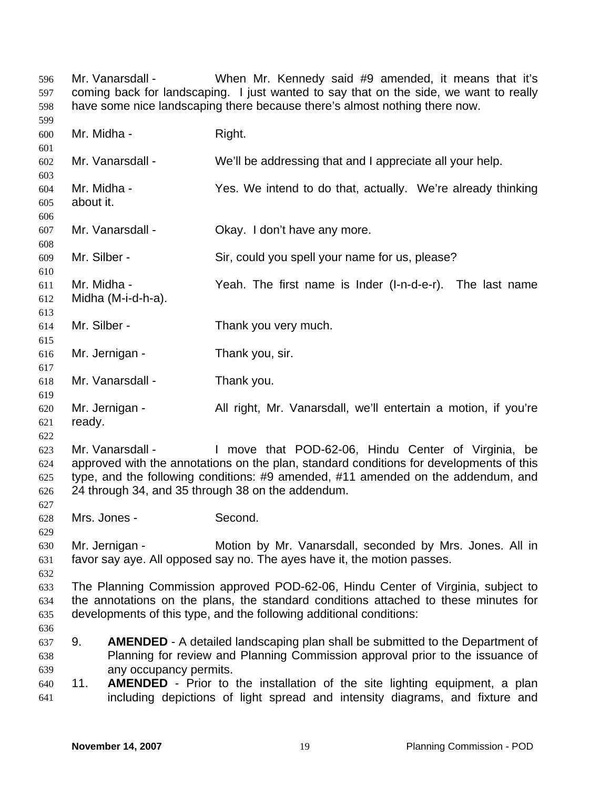Mr. Vanarsdall - When Mr. Kennedy said #9 amended, it means that it's coming back for landscaping. I just wanted to say that on the side, we want to really have some nice landscaping there because there's almost nothing there now. 596 597 598

600 601 602 603 604 605 606 607 608 609 610 611 612 613 614 615 616 617 618 619 620 621 622 623 624 625 626 627 628 629 630 631 632 633 634 635 636 637 638 639 640 641 Mr. Midha - Right. Mr. Vanarsdall - We'll be addressing that and I appreciate all your help. Mr. Midha - Yes. We intend to do that, actually. We're already thinking about it. Mr. Vanarsdall - Ckay. I don't have any more. Mr. Silber - Sir, could you spell your name for us, please? Mr. Midha - Yeah. The first name is Inder (I-n-d-e-r). The last name Midha (M-i-d-h-a). Mr. Silber - Thank you very much. Mr. Jernigan - Thank you, sir. Mr. Vanarsdall - Thank you. Mr. Jernigan - All right, Mr. Vanarsdall, we'll entertain a motion, if you're ready. Mr. Vanarsdall - The Move that POD-62-06, Hindu Center of Virginia, be approved with the annotations on the plan, standard conditions for developments of this type, and the following conditions: #9 amended, #11 amended on the addendum, and 24 through 34, and 35 through 38 on the addendum. Mrs. Jones - Second. Mr. Jernigan - Motion by Mr. Vanarsdall, seconded by Mrs. Jones. All in favor say aye. All opposed say no. The ayes have it, the motion passes. The Planning Commission approved POD-62-06, Hindu Center of Virginia, subject to the annotations on the plans, the standard conditions attached to these minutes for developments of this type, and the following additional conditions: 9. **AMENDED** - A detailed landscaping plan shall be submitted to the Department of Planning for review and Planning Commission approval prior to the issuance of any occupancy permits. 11. **AMENDED** - Prior to the installation of the site lighting equipment, a plan including depictions of light spread and intensity diagrams, and fixture and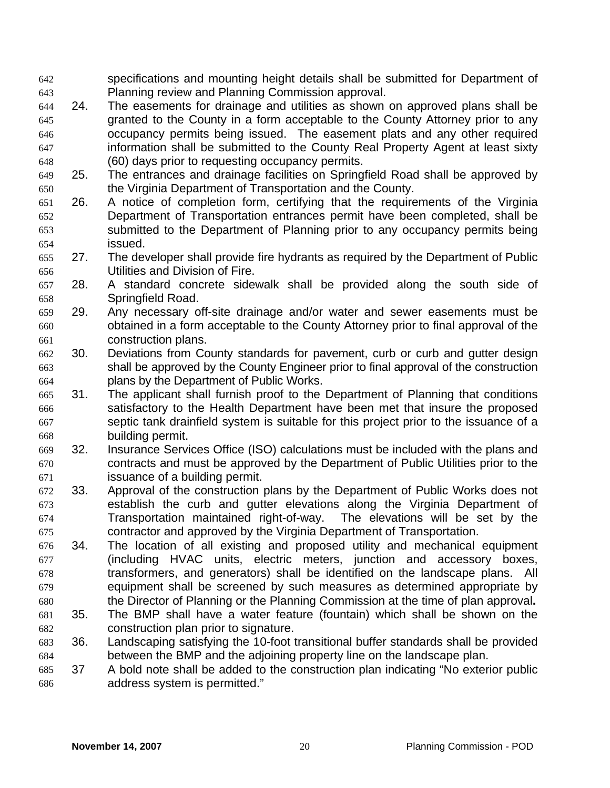- specifications and mounting height details shall be submitted for Department of Planning review and Planning Commission approval. 642 643
- 644 645 646 647 648 24. The easements for drainage and utilities as shown on approved plans shall be granted to the County in a form acceptable to the County Attorney prior to any occupancy permits being issued. The easement plats and any other required information shall be submitted to the County Real Property Agent at least sixty (60) days prior to requesting occupancy permits.
- 649 650 25. The entrances and drainage facilities on Springfield Road shall be approved by the Virginia Department of Transportation and the County.
- 651 652 653 654 26. A notice of completion form, certifying that the requirements of the Virginia Department of Transportation entrances permit have been completed, shall be submitted to the Department of Planning prior to any occupancy permits being issued.
- 655 656 27. The developer shall provide fire hydrants as required by the Department of Public Utilities and Division of Fire.
- 657 658 28. A standard concrete sidewalk shall be provided along the south side of Springfield Road.
- 659 660 661 29. Any necessary off-site drainage and/or water and sewer easements must be obtained in a form acceptable to the County Attorney prior to final approval of the construction plans.
- 662 663 664 30. Deviations from County standards for pavement, curb or curb and gutter design shall be approved by the County Engineer prior to final approval of the construction plans by the Department of Public Works.
- 665 666 667 668 31. The applicant shall furnish proof to the Department of Planning that conditions satisfactory to the Health Department have been met that insure the proposed septic tank drainfield system is suitable for this project prior to the issuance of a building permit.
- 669 670 671 32. Insurance Services Office (ISO) calculations must be included with the plans and contracts and must be approved by the Department of Public Utilities prior to the issuance of a building permit.
- 672 673 674 675 33. Approval of the construction plans by the Department of Public Works does not establish the curb and gutter elevations along the Virginia Department of Transportation maintained right-of-way. The elevations will be set by the contractor and approved by the Virginia Department of Transportation.
- 676 677 678 679 680 34. The location of all existing and proposed utility and mechanical equipment (including HVAC units, electric meters, junction and accessory boxes, transformers, and generators) shall be identified on the landscape plans. All equipment shall be screened by such measures as determined appropriate by the Director of Planning or the Planning Commission at the time of plan approval**.**
- 681 682 35. The BMP shall have a water feature (fountain) which shall be shown on the construction plan prior to signature.
- 683 684 36. Landscaping satisfying the 10-foot transitional buffer standards shall be provided between the BMP and the adjoining property line on the landscape plan.
- 685 686 37 A bold note shall be added to the construction plan indicating "No exterior public address system is permitted."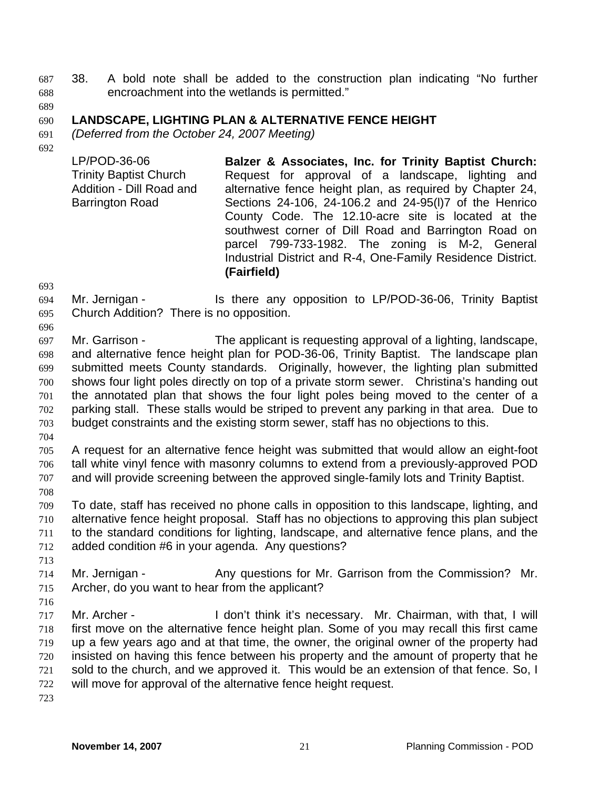- 38. A bold note shall be added to the construction plan indicating "No further encroachment into the wetlands is permitted." 687 688
- 689

### 690 **LANDSCAPE, LIGHTING PLAN & ALTERNATIVE FENCE HEIGHT**

691 *(Deferred from the October 24, 2007 Meeting)* 

692

LP/POD-36-06 Trinity Baptist Church Addition - Dill Road and Barrington Road **Balzer & Associates, Inc. for Trinity Baptist Church:** Request for approval of a landscape, lighting and alternative fence height plan, as required by Chapter 24, Sections 24-106, 24-106.2 and 24-95(l)7 of the Henrico County Code. The 12.10-acre site is located at the southwest corner of Dill Road and Barrington Road on parcel 799-733-1982. The zoning is M-2, General Industrial District and R-4, One-Family Residence District. **(Fairfield)** 

693

694 695 Mr. Jernigan - Is there any opposition to LP/POD-36-06, Trinity Baptist Church Addition? There is no opposition.

696 697 698 699 700 701 702 703 Mr. Garrison - The applicant is requesting approval of a lighting, landscape, and alternative fence height plan for POD-36-06, Trinity Baptist. The landscape plan submitted meets County standards. Originally, however, the lighting plan submitted shows four light poles directly on top of a private storm sewer. Christina's handing out the annotated plan that shows the four light poles being moved to the center of a parking stall. These stalls would be striped to prevent any parking in that area. Due to budget constraints and the existing storm sewer, staff has no objections to this.

704

708

705 706 707 A request for an alternative fence height was submitted that would allow an eight-foot tall white vinyl fence with masonry columns to extend from a previously-approved POD and will provide screening between the approved single-family lots and Trinity Baptist.

709 710 711 712 To date, staff has received no phone calls in opposition to this landscape, lighting, and alternative fence height proposal. Staff has no objections to approving this plan subject to the standard conditions for lighting, landscape, and alternative fence plans, and the added condition #6 in your agenda. Any questions?

- 713 714 715 Mr. Jernigan - Any questions for Mr. Garrison from the Commission? Mr. Archer, do you want to hear from the applicant?
- 716

717 718 719 720 721 722 Mr. Archer - I don't think it's necessary. Mr. Chairman, with that, I will first move on the alternative fence height plan. Some of you may recall this first came up a few years ago and at that time, the owner, the original owner of the property had insisted on having this fence between his property and the amount of property that he sold to the church, and we approved it. This would be an extension of that fence. So, I will move for approval of the alternative fence height request.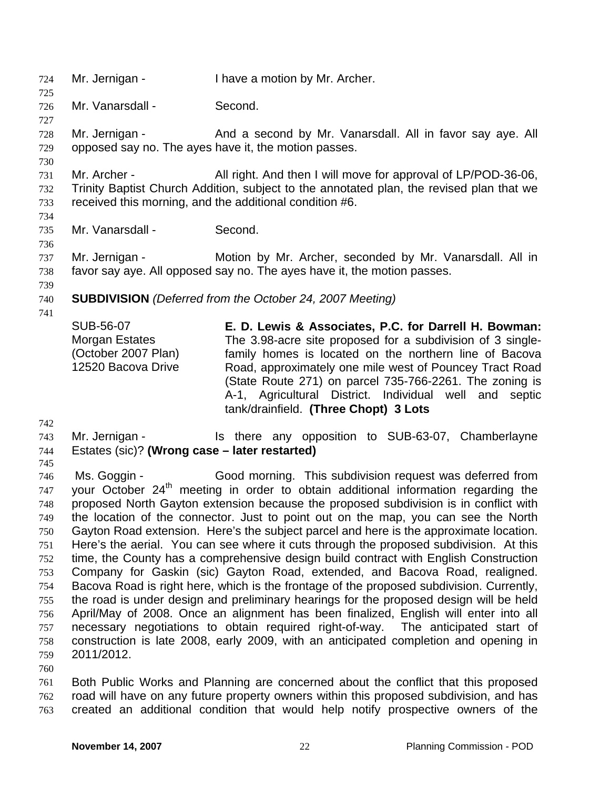724 Mr. Jernigan - I have a motion by Mr. Archer. 725 726 727 728 729 730 731 732 733 734 735 736 737 738 739 740 741 742 743 744 745 746 747 748 749 750 751 752 753 754 755 Mr. Vanarsdall - Second. Mr. Jernigan - And a second by Mr. Vanarsdall. All in favor say aye. All opposed say no. The ayes have it, the motion passes. Mr. Archer - All right. And then I will move for approval of LP/POD-36-06, Trinity Baptist Church Addition, subject to the annotated plan, the revised plan that we received this morning, and the additional condition #6. Mr. Vanarsdall - Second. Mr. Jernigan - **Motion by Mr. Archer, seconded by Mr. Vanarsdall. All in** favor say aye. All opposed say no. The ayes have it, the motion passes. **SUBDIVISION** *(Deferred from the October 24, 2007 Meeting)*  SUB-56-07 Morgan Estates (October 2007 Plan) 12520 Bacova Drive **E. D. Lewis & Associates, P.C. for Darrell H. Bowman:**  The 3.98-acre site proposed for a subdivision of 3 singlefamily homes is located on the northern line of Bacova Road, approximately one mile west of Pouncey Tract Road (State Route 271) on parcel 735-766-2261. The zoning is A-1, Agricultural District. Individual well and septic tank/drainfield. **(Three Chopt) 3 Lots**  Mr. Jernigan - The Is there any opposition to SUB-63-07, Chamberlayne Estates (sic)? **(Wrong case – later restarted)**  Ms. Goggin - Good morning. This subdivision request was deferred from your October 24<sup>th</sup> meeting in order to obtain additional information regarding the proposed North Gayton extension because the proposed subdivision is in conflict with the location of the connector. Just to point out on the map, you can see the North Gayton Road extension. Here's the subject parcel and here is the approximate location. Here's the aerial. You can see where it cuts through the proposed subdivision. At this time, the County has a comprehensive design build contract with English Construction Company for Gaskin (sic) Gayton Road, extended, and Bacova Road, realigned. Bacova Road is right here, which is the frontage of the proposed subdivision. Currently, the road is under design and preliminary hearings for the proposed design will be held

756 757 758 759 April/May of 2008. Once an alignment has been finalized, English will enter into all necessary negotiations to obtain required right-of-way. The anticipated start of construction is late 2008, early 2009, with an anticipated completion and opening in 2011/2012.

760

761 762 763 Both Public Works and Planning are concerned about the conflict that this proposed road will have on any future property owners within this proposed subdivision, and has created an additional condition that would help notify prospective owners of the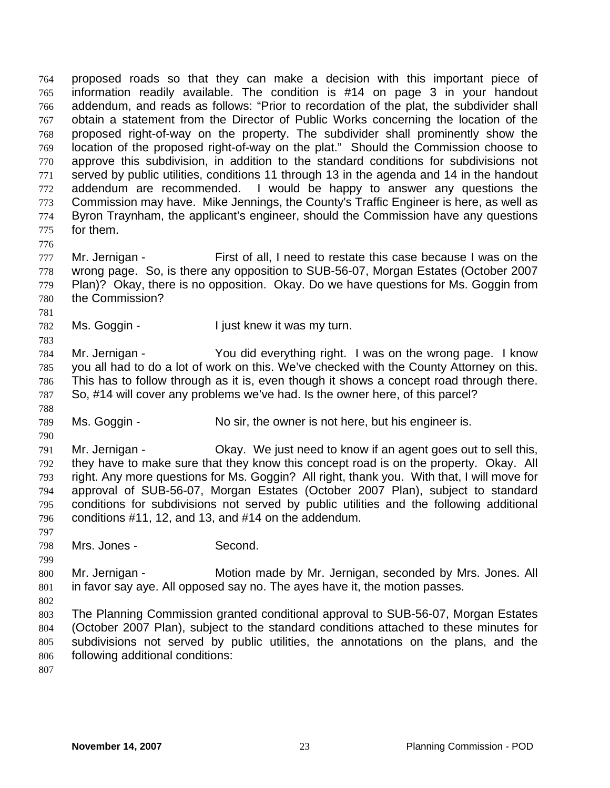proposed roads so that they can make a decision with this important piece of information readily available. The condition is #14 on page 3 in your handout addendum, and reads as follows: "Prior to recordation of the plat, the subdivider shall obtain a statement from the Director of Public Works concerning the location of the proposed right-of-way on the property. The subdivider shall prominently show the location of the proposed right-of-way on the plat." Should the Commission choose to approve this subdivision, in addition to the standard conditions for subdivisions not served by public utilities, conditions 11 through 13 in the agenda and 14 in the handout addendum are recommended. I would be happy to answer any questions the Commission may have. Mike Jennings, the County's Traffic Engineer is here, as well as Byron Traynham, the applicant's engineer, should the Commission have any questions for them. 764 765 766 767 768 769 770 771 772 773 774 775

776

781

783

788

790

797

799

777 778 779 780 Mr. Jernigan - First of all, I need to restate this case because I was on the wrong page. So, is there any opposition to SUB-56-07, Morgan Estates (October 2007 Plan)? Okay, there is no opposition. Okay. Do we have questions for Ms. Goggin from the Commission?

782 Ms. Goggin - Tiust knew it was my turn.

784 785 786 787 Mr. Jernigan - You did everything right. I was on the wrong page. I know you all had to do a lot of work on this. We've checked with the County Attorney on this. This has to follow through as it is, even though it shows a concept road through there. So, #14 will cover any problems we've had. Is the owner here, of this parcel?

789 Ms. Goggin - No sir, the owner is not here, but his engineer is.

791 792 793 794 795 796 Mr. Jernigan - Ckay. We just need to know if an agent goes out to sell this, they have to make sure that they know this concept road is on the property. Okay. All right. Any more questions for Ms. Goggin? All right, thank you. With that, I will move for approval of SUB-56-07, Morgan Estates (October 2007 Plan), subject to standard conditions for subdivisions not served by public utilities and the following additional conditions #11, 12, and 13, and #14 on the addendum.

798 Mrs. Jones - Second.

800 801 Mr. Jernigan - **Motion made by Mr. Jernigan, seconded by Mrs. Jones. All** in favor say aye. All opposed say no. The ayes have it, the motion passes.

802 803 804 805 806 The Planning Commission granted conditional approval to SUB-56-07, Morgan Estates (October 2007 Plan), subject to the standard conditions attached to these minutes for subdivisions not served by public utilities, the annotations on the plans, and the following additional conditions: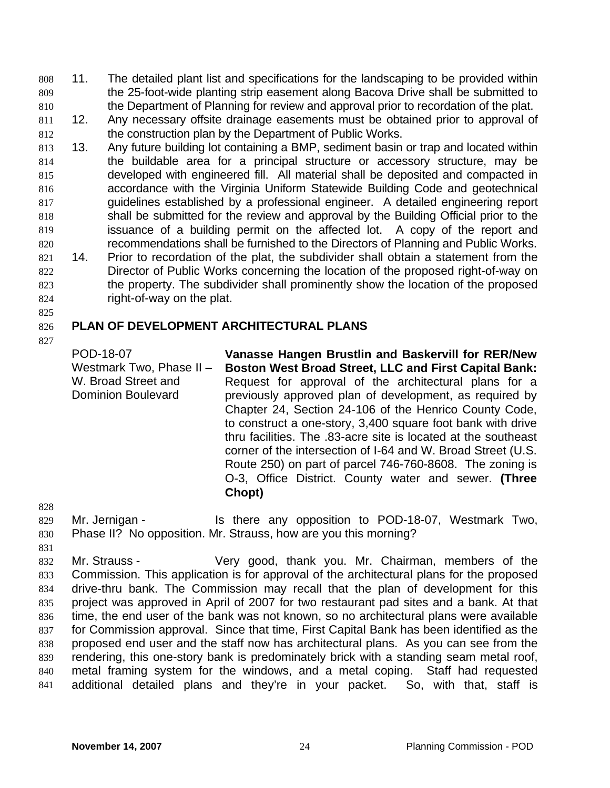11. The detailed plant list and specifications for the landscaping to be provided within the 25-foot-wide planting strip easement along Bacova Drive shall be submitted to the Department of Planning for review and approval prior to recordation of the plat. 808 809 810

- 811 812 12. Any necessary offsite drainage easements must be obtained prior to approval of the construction plan by the Department of Public Works.
- 813 814 815 816 817 818 819 820 821 822 823 824 13. Any future building lot containing a BMP, sediment basin or trap and located within the buildable area for a principal structure or accessory structure, may be developed with engineered fill. All material shall be deposited and compacted in accordance with the Virginia Uniform Statewide Building Code and geotechnical guidelines established by a professional engineer. A detailed engineering report shall be submitted for the review and approval by the Building Official prior to the issuance of a building permit on the affected lot. A copy of the report and recommendations shall be furnished to the Directors of Planning and Public Works. 14. Prior to recordation of the plat, the subdivider shall obtain a statement from the Director of Public Works concerning the location of the proposed right-of-way on the property. The subdivider shall prominently show the location of the proposed right-of-way on the plat.
- 825

827

### 826 **PLAN OF DEVELOPMENT ARCHITECTURAL PLANS**

POD-18-07 Westmark Two, Phase II – W. Broad Street and Dominion Boulevard **Vanasse Hangen Brustlin and Baskervill for RER/New Boston West Broad Street, LLC and First Capital Bank:**  Request for approval of the architectural plans for a previously approved plan of development, as required by Chapter 24, Section 24-106 of the Henrico County Code, to construct a one-story, 3,400 square foot bank with drive thru facilities. The .83-acre site is located at the southeast corner of the intersection of I-64 and W. Broad Street (U.S. Route 250) on part of parcel 746-760-8608. The zoning is O-3, Office District. County water and sewer. **(Three Chopt)** 

828

- 829 830 Mr. Jernigan - Is there any opposition to POD-18-07, Westmark Two, Phase II? No opposition. Mr. Strauss, how are you this morning?
- 831

832 833 834 835 836 837 838 839 840 841 Mr. Strauss - Very good, thank you. Mr. Chairman, members of the Commission. This application is for approval of the architectural plans for the proposed drive-thru bank. The Commission may recall that the plan of development for this project was approved in April of 2007 for two restaurant pad sites and a bank. At that time, the end user of the bank was not known, so no architectural plans were available for Commission approval. Since that time, First Capital Bank has been identified as the proposed end user and the staff now has architectural plans. As you can see from the rendering, this one-story bank is predominately brick with a standing seam metal roof, metal framing system for the windows, and a metal coping. Staff had requested additional detailed plans and they're in your packet. So, with that, staff is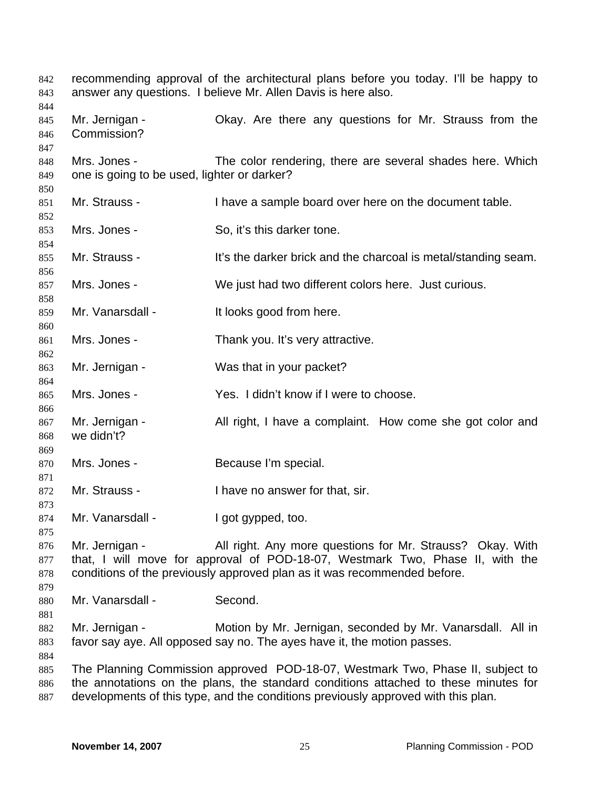| 842<br>843<br>844        |                                                             | recommending approval of the architectural plans before you today. I'll be happy to<br>answer any questions. I believe Mr. Allen Davis is here also.                                                                                                       |
|--------------------------|-------------------------------------------------------------|------------------------------------------------------------------------------------------------------------------------------------------------------------------------------------------------------------------------------------------------------------|
| 845<br>846<br>847        | Mr. Jernigan -<br>Commission?                               | Okay. Are there any questions for Mr. Strauss from the                                                                                                                                                                                                     |
| 848<br>849<br>850        | Mrs. Jones -<br>one is going to be used, lighter or darker? | The color rendering, there are several shades here. Which                                                                                                                                                                                                  |
| 851<br>852               | Mr. Strauss -                                               | I have a sample board over here on the document table.                                                                                                                                                                                                     |
| 853<br>854               | Mrs. Jones -                                                | So, it's this darker tone.                                                                                                                                                                                                                                 |
| 855<br>856               | Mr. Strauss -                                               | It's the darker brick and the charcoal is metal/standing seam.                                                                                                                                                                                             |
| 857<br>858               | Mrs. Jones -                                                | We just had two different colors here. Just curious.                                                                                                                                                                                                       |
| 859<br>860               | Mr. Vanarsdall -                                            | It looks good from here.                                                                                                                                                                                                                                   |
| 861<br>862               | Mrs. Jones -                                                | Thank you. It's very attractive.                                                                                                                                                                                                                           |
| 863<br>864               | Mr. Jernigan -                                              | Was that in your packet?                                                                                                                                                                                                                                   |
| 865<br>866               | Mrs. Jones -                                                | Yes. I didn't know if I were to choose.                                                                                                                                                                                                                    |
| 867<br>868<br>869        | Mr. Jernigan -<br>we didn't?                                | All right, I have a complaint. How come she got color and                                                                                                                                                                                                  |
| 870<br>871               | Mrs. Jones -                                                | Because I'm special.                                                                                                                                                                                                                                       |
| 872<br>873               | Mr. Strauss -                                               | I have no answer for that, sir.                                                                                                                                                                                                                            |
| 874<br>875               | Mr. Vanarsdall -                                            | I got gypped, too.                                                                                                                                                                                                                                         |
| 876<br>877<br>878<br>879 | Mr. Jernigan -                                              | All right. Any more questions for Mr. Strauss? Okay. With<br>that, I will move for approval of POD-18-07, Westmark Two, Phase II, with the<br>conditions of the previously approved plan as it was recommended before.                                     |
| 880<br>881               | Mr. Vanarsdall -                                            | Second.                                                                                                                                                                                                                                                    |
| 882<br>883<br>884        | Mr. Jernigan -                                              | Motion by Mr. Jernigan, seconded by Mr. Vanarsdall. All in<br>favor say aye. All opposed say no. The ayes have it, the motion passes.                                                                                                                      |
| 885<br>886<br>887        |                                                             | The Planning Commission approved POD-18-07, Westmark Two, Phase II, subject to<br>the annotations on the plans, the standard conditions attached to these minutes for<br>developments of this type, and the conditions previously approved with this plan. |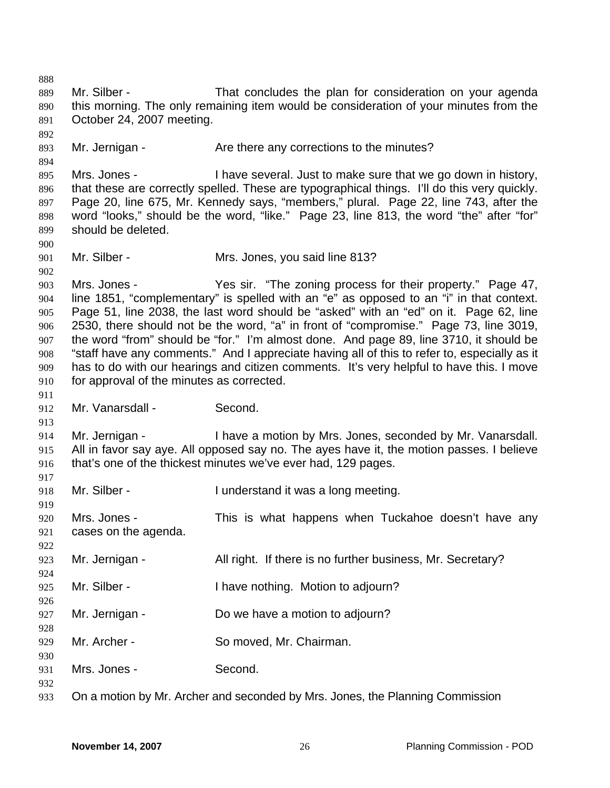888 889 890 891 892 893 894 895 896 897 898 899 900 901 902 903 904 905 906 907 908 909 910 911 912 913 914 915 916 917 918 919 920 921 922 923 924 925 926 927 928 929 930 931 932 933 Mr. Silber - That concludes the plan for consideration on your agenda this morning. The only remaining item would be consideration of your minutes from the October 24, 2007 meeting. Mr. Jernigan - The Are there any corrections to the minutes? Mrs. Jones - I have several. Just to make sure that we go down in history, that these are correctly spelled. These are typographical things. I'll do this very quickly. Page 20, line 675, Mr. Kennedy says, "members," plural. Page 22, line 743, after the word "looks," should be the word, "like." Page 23, line 813, the word "the" after "for" should be deleted. Mr. Silber - Mrs. Jones, you said line 813? Mrs. Jones - The sir. "The zoning process for their property." Page 47, line 1851, "complementary" is spelled with an "e" as opposed to an "i" in that context. Page 51, line 2038, the last word should be "asked" with an "ed" on it. Page 62, line 2530, there should not be the word, "a" in front of "compromise." Page 73, line 3019, the word "from" should be "for." I'm almost done. And page 89, line 3710, it should be "staff have any comments." And I appreciate having all of this to refer to, especially as it has to do with our hearings and citizen comments. It's very helpful to have this. I move for approval of the minutes as corrected. Mr. Vanarsdall - Second. Mr. Jernigan - I have a motion by Mrs. Jones, seconded by Mr. Vanarsdall. All in favor say aye. All opposed say no. The ayes have it, the motion passes. I believe that's one of the thickest minutes we've ever had, 129 pages. Mr. Silber - I understand it was a long meeting. Mrs. Jones - This is what happens when Tuckahoe doesn't have any cases on the agenda. Mr. Jernigan - All right. If there is no further business, Mr. Secretary? Mr. Silber - Thave nothing. Motion to adjourn? Mr. Jernigan - Do we have a motion to adjourn? Mr. Archer - So moved, Mr. Chairman. Mrs. Jones - Second. On a motion by Mr. Archer and seconded by Mrs. Jones, the Planning Commission